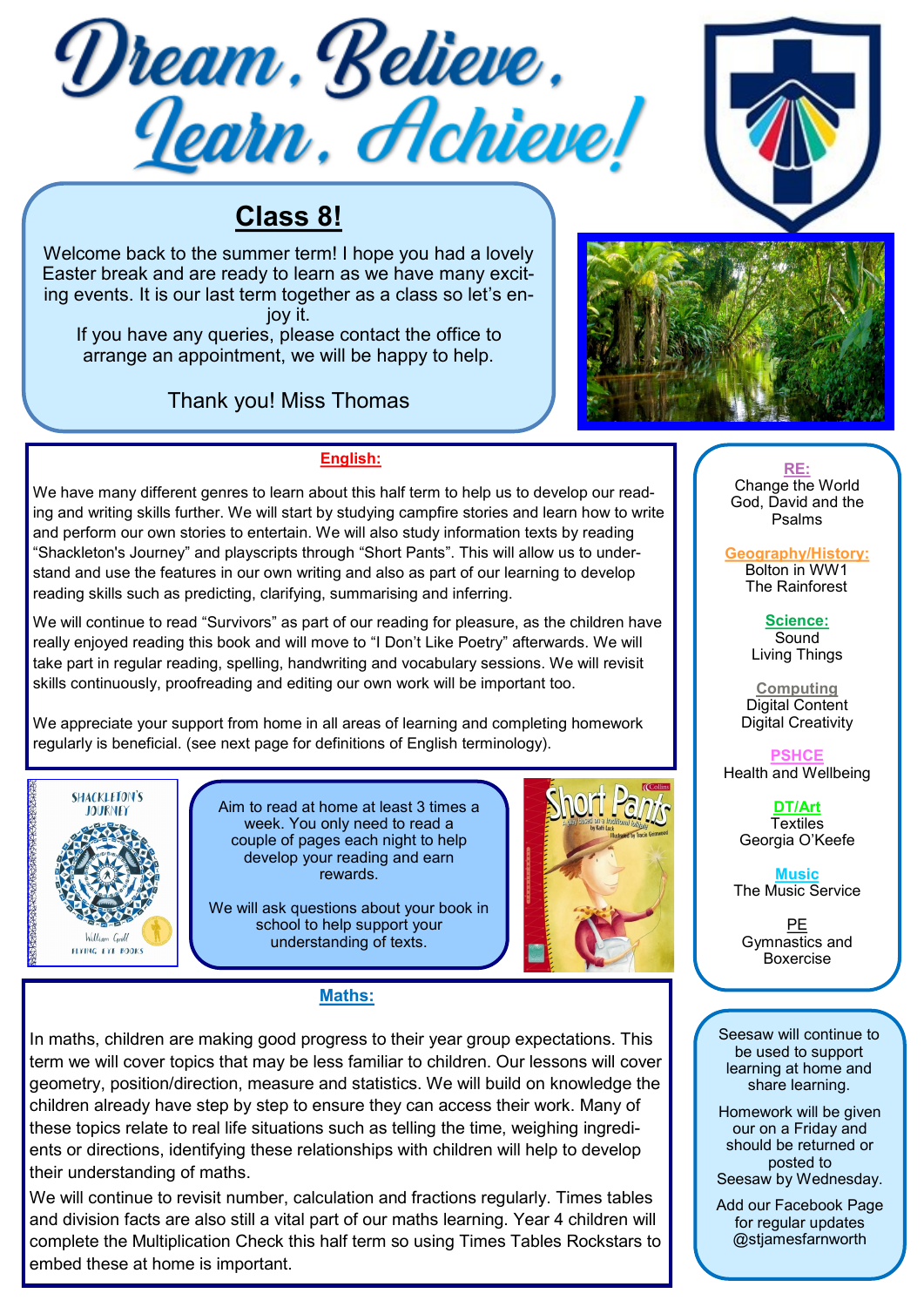



# **Class 8!**

Welcome back to the summer term! I hope you had a lovely Easter break and are ready to learn as we have many exciting events. It is our last term together as a class so let's enjoy it.

If you have any queries, please contact the office to arrange an appointment, we will be happy to help.

# Thank you! Miss Thomas



# **English:**

We have many different genres to learn about this half term to help us to develop our reading and writing skills further. We will start by studying campfire stories and learn how to write and perform our own stories to entertain. We will also study information texts by reading "Shackleton's Journey" and playscripts through "Short Pants". This will allow us to understand and use the features in our own writing and also as part of our learning to develop reading skills such as predicting, clarifying, summarising and inferring.

We will continue to read "Survivors" as part of our reading for pleasure, as the children have really enjoyed reading this book and will move to "I Don't Like Poetry" afterwards. We will take part in regular reading, spelling, handwriting and vocabulary sessions. We will revisit skills continuously, proofreading and editing our own work will be important too.

We appreciate your support from home in all areas of learning and completing homework regularly is beneficial. (see next page for definitions of English terminology).



Aim to read at home at least 3 times a week. You only need to read a couple of pages each night to help develop your reading and earn rewards.

We will ask questions about your book in school to help support your understanding of texts.



## **Maths:**

In maths, children are making good progress to their year group expectations. This term we will cover topics that may be less familiar to children. Our lessons will cover geometry, position/direction, measure and statistics. We will build on knowledge the children already have step by step to ensure they can access their work. Many of these topics relate to real life situations such as telling the time, weighing ingredients or directions, identifying these relationships with children will help to develop their understanding of maths.

We will continue to revisit number, calculation and fractions regularly. Times tables and division facts are also still a vital part of our maths learning. Year 4 children will complete the Multiplication Check this half term so using Times Tables Rockstars to embed these at home is important.

**RE:** Change the World God, David and the Psalms

**Geography/History:**  Bolton in WW1 The Rainforest

> **Science: Sound** Living Things

**Computing** Digital Content Digital Creativity

**PSHCE**  Health and Wellbeing

> **DT/Art Textiles** Georgia O'Keefe

**Music** The Music Service

PE Gymnastics and Boxercise

Seesaw will continue to be used to support learning at home and share learning.

Homework will be given our on a Friday and should be returned or posted to Seesaw by Wednesday.

Add our Facebook Page for regular updates @stjamesfarnworth